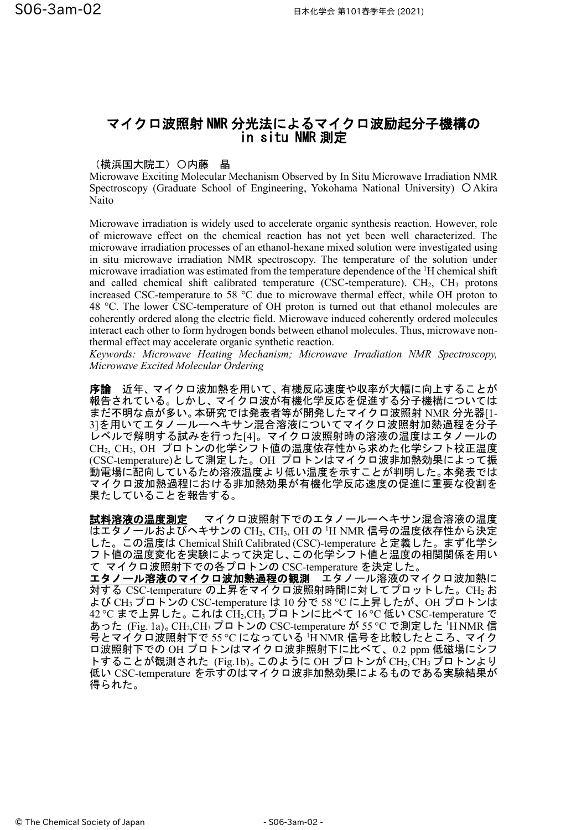## マイクロ波照射 NMR 分光法によるマイクロ波励起分子機構の in situ NMR 測定

## (横浜国大院工)〇内藤 晶

Microwave Exciting Molecular Mechanism Observed by In Situ Microwave Irradiation NMR Spectroscopy (Graduate School of Engineering, Yokohama National University) 〇Akira Naito

Microwave irradiation is widely used to accelerate organic synthesis reaction. However, role of microwave effect on the chemical reaction has not yet been well characterized. The microwave irradiation processes of an ethanol-hexane mixed solution were investigated using in situ microwave irradiation NMR spectroscopy. The temperature of the solution under microwave irradiation was estimated from the temperature dependence of the <sup>1</sup>H chemical shift and called chemical shift calibrated temperature (CSC-temperature).  $CH<sub>2</sub>$ ,  $CH<sub>3</sub>$  protons increased CSC-temperature to 58 °C due to microwave thermal effect, while OH proton to 48 °C. The lower CSC-temperature of OH proton is turned out that ethanol molecules are coherently ordered along the electric field. Microwave induced coherently ordered molecules interact each other to form hydrogen bonds between ethanol molecules. Thus, microwave nonthermal effect may accelerate organic synthetic reaction.

*Keywords: Microwave Heating Mechanism; Microwave Irradiation NMR Spectroscopy, Microwave Excited Molecular Ordering*

序論 近年、マイクロ波加熱を用いて、有機反応速度や収率が大幅に向上することが 報告されている。しかし、マイクロ波が有機化学反応を促進する分子機構については まだ不明な点が多い。本研究では発表者等が開発したマイクロ波照射 NMR 分光器[1- 3]を用いてエタノールーヘキサン混合溶液についてマイクロ波照射加熱過程を分子 レベルで解明する試みを行った[4]。マイクロ波照射時の溶液の温度はエタノールの CH2, CH3, OH プロトンの化学シフト値の温度依存性から求めた化学シフト校正温度 (CSC-temperature)として測定した。OH プロトンはマイクロ波非加熱効果によって振 動電場に配向しているため溶液温度より低い温度を示すことが判明した。本発表では マイクロ波加熱過程における非加熱効果が有機化学反応速度の促進に重要な役割を 果たしていることを報告する。

試料溶液の温度測定 マイクロ波照射下でのエタノールーヘキサン混合溶液の温度 はエタノールおよびヘキサンの CH2, CH3, OH の <sup>1</sup>H NMR 信号の温度依存性から決定 した。この温度は Chemical Shift Calibrated (CSC)-temperature と定義した。まず化学シ フト値の温度変化を実験によって決定し、この化学シフト値と温度の相関関係を用い て マイクロ波照射下での各プロトンの CSC-temperature を決定した。

エタノール溶液のマイクロ波加熱過程の観測 エタノール溶液のマイクロ波加熱に 対する CSC-temperature の上昇をマイクロ波照射時間に対してプロットした。CH<sup>2</sup> お よび CH3プロトンの CSC-temperature は 10 分で 58 °C に上昇したが、OH プロトンは 42 °C まで上昇した。これは CH2,CH3プロトンに比べて 16 °C 低い CSC-temperature で あった (Fig. 1a)。CH2,CH3 プロトンの CSC-temperature が 55 °C で測定した <sup>1</sup>H NMR 信 号とマイクロ波照射下で 55 ℃ になっている 'H NMR 信号を比較したところ、マイク ロ波照射下での OH プロトンはマイクロ波非照射下に比べて、0.2 ppm 低磁場にシフ トすることが観測された (Fig.1b)。 このように OH プロトンが CH2, CH3 プロトンより 低い CSC-temperature を示すのはマイクロ波非加熱効果によるものである実験結果が 得られた。